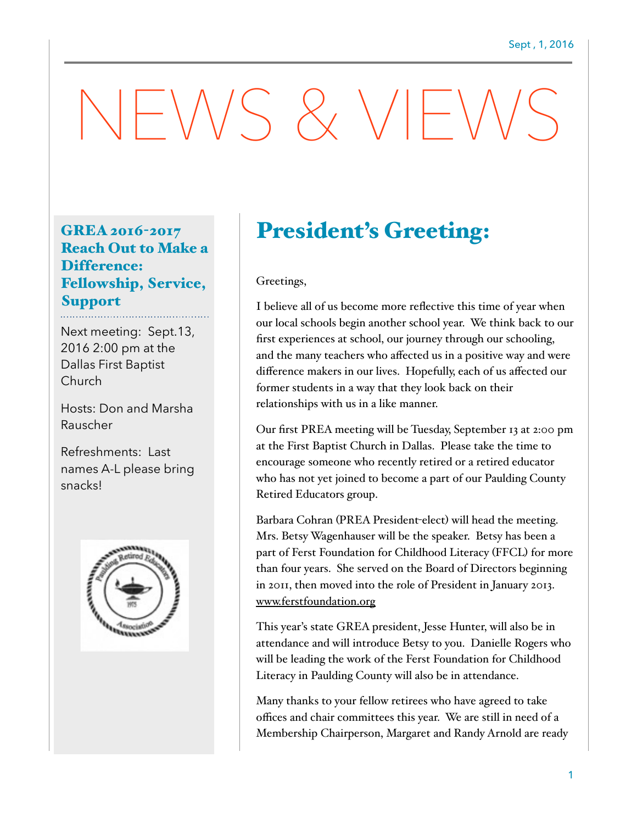# NEWS & VIEWS

### GREA 2016-2017 Reach Out to Make a Difference: Fellowship, Service, Support

Next meeting: Sept.13, 2016 2:00 pm at the Dallas First Baptist Church

Hosts: Don and Marsha Rauscher

Refreshments: Last names A-L please bring snacks!



## President's Greeting:

#### Greetings,

I believe all of us become more reflective this time of year when our local schools begin another school year. We think back to our first experiences at school, our journey through our schooling, and the many teachers who affected us in a positive way and were difference makers in our lives. Hopefully, each of us affected our former students in a way that they look back on their relationships with us in a like manner.

Our first PREA meeting will be Tuesday, September 13 at 2:00 pm at the First Baptist Church in Dallas. Please take the time to encourage someone who recently retired or a retired educator who has not yet joined to become a part of our Paulding County Retired Educators group.

Barbara Cohran (PREA President-elect) will head the meeting. Mrs. Betsy Wagenhauser will be the speaker. Betsy has been a part of Ferst Foundation for Childhood Literacy (FFCL) for more than four years. She served on the Board of Directors beginning in 2011, then moved into the role of President in January 2013. [www.ferstfoundation.org](http://www.ferstfoundation.org)

This year's state GREA president, Jesse Hunter, will also be in attendance and will introduce Betsy to you. Danielle Rogers who will be leading the work of the Ferst Foundation for Childhood Literacy in Paulding County will also be in attendance.

Many thanks to your fellow retirees who have agreed to take offices and chair committees this year. We are still in need of a Membership Chairperson, Margaret and Randy Arnold are ready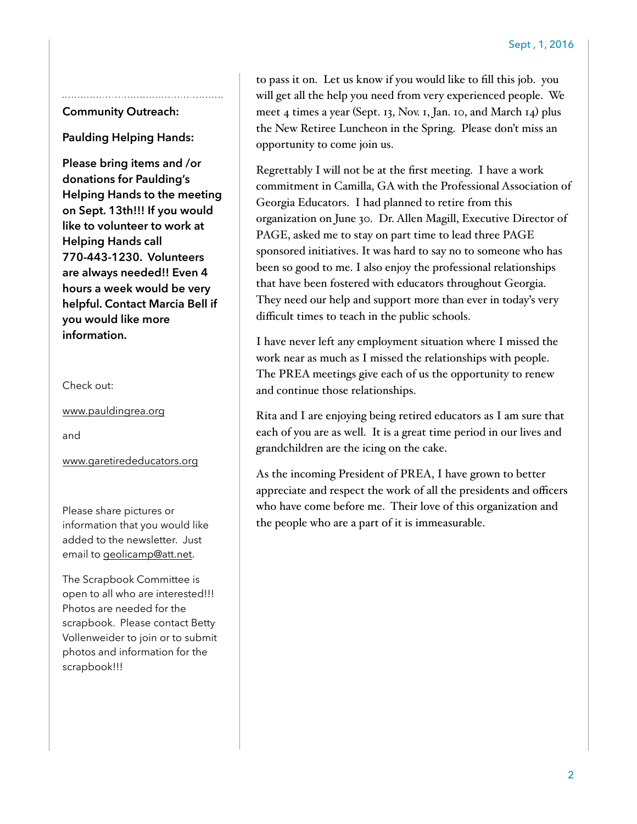#### **Community Outreach:**

**Paulding Helping Hands:** 

**Please bring items and /or donations for Paulding's Helping Hands to the meeting on Sept. 13th!!! If you would like to volunteer to work at Helping Hands call 770-443-1230. Volunteers are always needed!! Even 4 hours a week would be very helpful. Contact Marcia Bell if you would like more information.**

Check out:

[www.pauldingrea.org](http://www.pauldingrea.org)

and

[www.garetirededucators.org](http://www.garetirededucators.org)

Please share pictures or information that you would like added to the newsletter. Just email to [geolicamp@att.net.](mailto:geolicamp@att.net)

The Scrapbook Committee is open to all who are interested!!! Photos are needed for the scrapbook. Please contact Betty Vollenweider to join or to submit photos and information for the scrapbook!!!

to pass it on. Let us know if you would like to fill this job. you will get all the help you need from very experienced people. We meet 4 times a year (Sept. 13, Nov. 1, Jan. 10, and March 14) plus the New Retiree Luncheon in the Spring. Please don't miss an opportunity to come join us.

Regrettably I will not be at the first meeting. I have a work commitment in Camilla, GA with the Professional Association of Georgia Educators. I had planned to retire from this organization on June 30. Dr. Allen Magill, Executive Director of PAGE, asked me to stay on part time to lead three PAGE sponsored initiatives. It was hard to say no to someone who has been so good to me. I also enjoy the professional relationships that have been fostered with educators throughout Georgia. They need our help and support more than ever in today's very difficult times to teach in the public schools.

I have never left any employment situation where I missed the work near as much as I missed the relationships with people. The PREA meetings give each of us the opportunity to renew and continue those relationships.

Rita and I are enjoying being retired educators as I am sure that each of you are as well. It is a great time period in our lives and grandchildren are the icing on the cake.

As the incoming President of PREA, I have grown to better appreciate and respect the work of all the presidents and officers who have come before me. Their love of this organization and the people who are a part of it is immeasurable.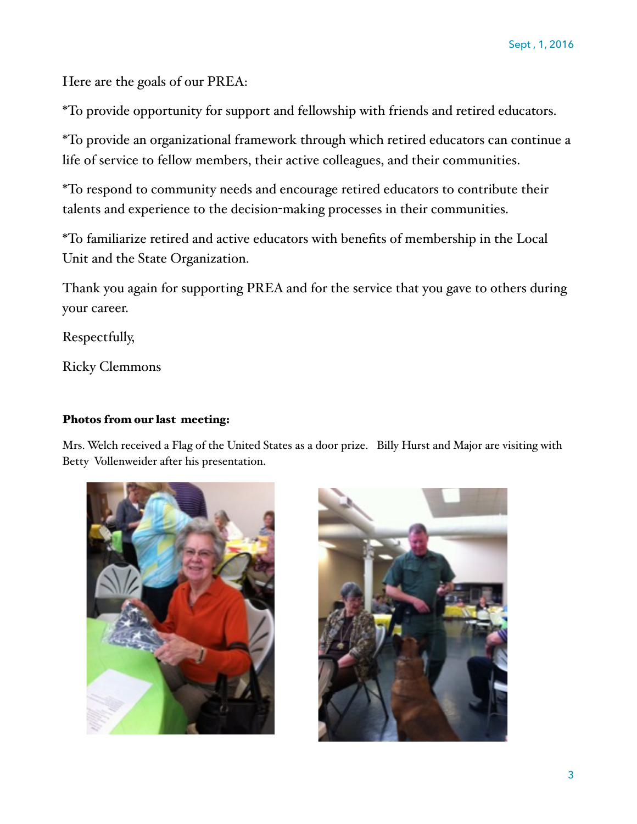Here are the goals of our PREA:

\*To provide opportunity for support and fellowship with friends and retired educators.

\*To provide an organizational framework through which retired educators can continue a life of service to fellow members, their active colleagues, and their communities.

\*To respond to community needs and encourage retired educators to contribute their talents and experience to the decision-making processes in their communities.

\*To familiarize retired and active educators with benefits of membership in the Local Unit and the State Organization.

Thank you again for supporting PREA and for the service that you gave to others during your career.

Respectfully,

Ricky Clemmons

#### Photos from our last meeting:

Mrs. Welch received a Flag of the United States as a door prize. Billy Hurst and Major are visiting with Betty Vollenweider after his presentation.